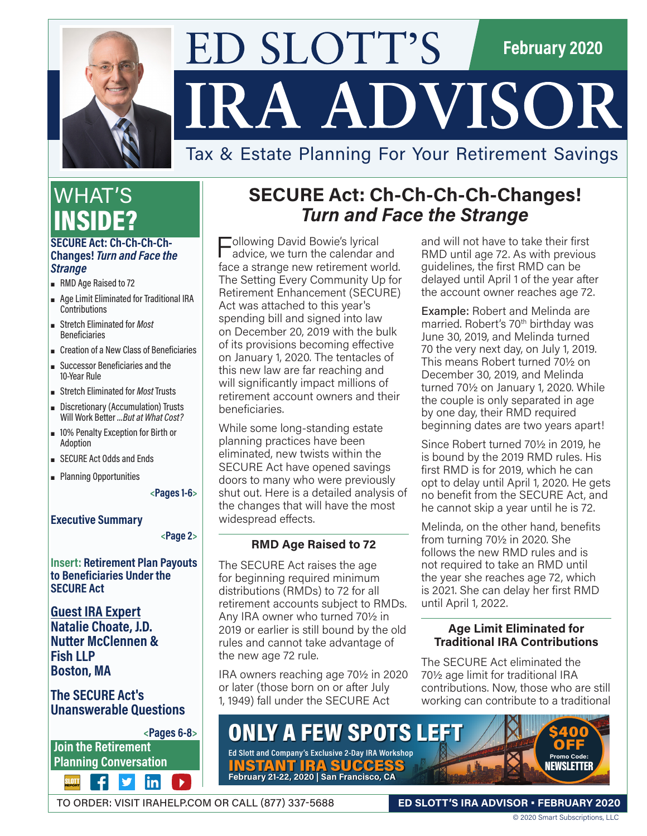

# ED SLOTT'S **February 2020** IRA ADVISOR

## Tax & Estate Planning For Your Retirement Savings

## WHAT'S INSIDE?

#### **SECURE Act: Ch-Ch-Ch-Ch-Changes!** *Turn and Face the Strange*

- **RMD** Age Raised to 72
- ρ Age Limit Eliminated for Traditional IRA Contributions
- ρ Stretch Eliminated for *Most* Beneficiaries
- ρ Creation of a New Class of Beneficiaries
- ρ Successor Beneficiaries and the 10-Year Rule
- ρ Stretch Eliminated for *Most* Trusts
- **-** Discretionary (Accumulation) Trusts Will Work Better *…But at What Cost?*
- ρ 10% Penalty Exception for Birth or Adoption
- **BECURE Act Odds and Ends**
- **-** Planning Opportunities

**<Pages 1-6>**

#### **Executive Summary**

**<Page 2>**

**Insert: Retirement Plan Payouts to Beneficiaries Under the SECURE Act**

**Guest IRA Expert Natalie Choate, J.D. Nutter McClennen & Fish LLP Boston, MA**

#### **The SECURE Act's Unanswerable Questions**

**Join the Retirement** 

 $|{\sf in}|$ 

## **SECURE Act: Ch-Ch-Ch-Ch-Changes!**  *Turn and Face the Strange*

Following David Bowie's lyrical advice, we turn the calendar and face a strange new retirement world. The Setting Every Community Up for Retirement Enhancement (SECURE) Act was attached to this year's spending bill and signed into law on December 20, 2019 with the bulk of its provisions becoming effective on January 1, 2020. The tentacles of this new law are far reaching and will significantly impact millions of retirement account owners and their beneficiaries.

While some long-standing estate planning practices have been eliminated, new twists within the SECURE Act have opened savings doors to many who were previously shut out. Here is a detailed analysis of the changes that will have the most widespread effects.

#### **RMD Age Raised to 72**

The SECURE Act raises the age for beginning required minimum distributions (RMDs) to 72 for all retirement accounts subject to RMDs. Any IRA owner who turned 70½ in 2019 or earlier is still bound by the old rules and cannot take advantage of the new age 72 rule.

IRA owners reaching age 70½ in 2020 or later (those born on or after July 1, 1949) fall under the SECURE Act

and will not have to take their first RMD until age 72. As with previous guidelines, the first RMD can be delayed until April 1 of the year after the account owner reaches age 72.

Example: Robert and Melinda are married. Robert's 70<sup>th</sup> birthday was June 30, 2019, and Melinda turned 70 the very next day, on July 1, 2019. This means Robert turned 70½ on December 30, 2019, and Melinda turned 70½ on January 1, 2020. While the couple is only separated in age by one day, their RMD required beginning dates are two years apart!

Since Robert turned 70½ in 2019, he is bound by the 2019 RMD rules. His first RMD is for 2019, which he can opt to delay until April 1, 2020. He gets no benefit from the SECURE Act, and he cannot skip a year until he is 72.

Melinda, on the other hand, benefits from turning 70½ in 2020. She follows the new RMD rules and is not required to take an RMD until the year she reaches age 72, which is 2021. She can delay her first RMD until April 1, 2022.

#### **Age Limit Eliminated for Traditional IRA Contributions**

The SECURE Act eliminated the 70½ age limit for traditional IRA contributions. Now, those who are still working can contribute to a traditional

**Planning Conversation <Pages 6-8>** ONLY A FEW SPOTS LEFT **Ed Slott and Company's Exclusive 2-Day IRA Workshop**

INSTANT IRA SUCCESS **February 21-22, 2020 | San Francisco, CA**

TO ORDER: VISIT IRAHELP.COM OR CALL (877) 337-5688

**ED SLOTT'S IRA ADVISOR • FEBRUARY 2020**

**Promo Code:**  NEWSLETTER

\$400 **OFF**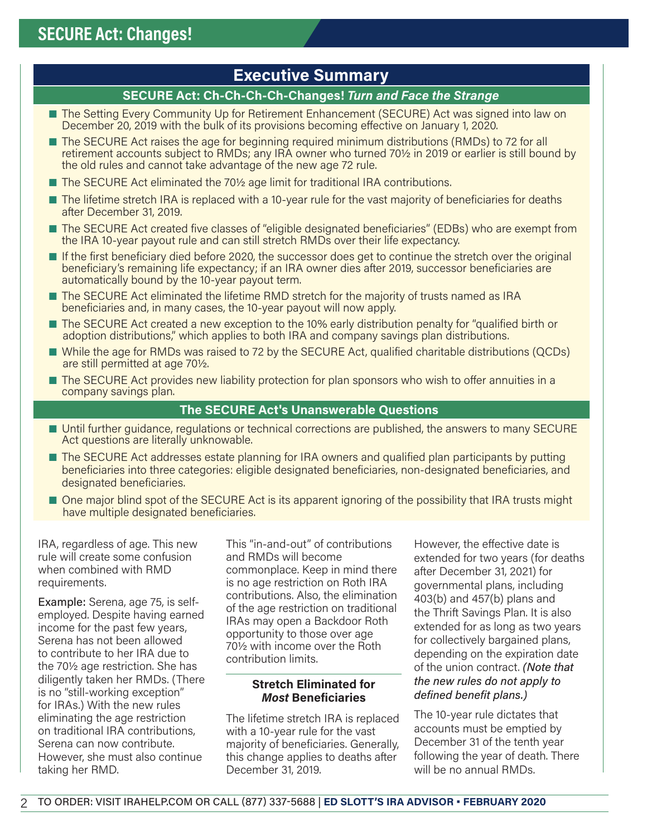## **Executive Summary**

#### **SECURE Act: Ch-Ch-Ch-Ch-Changes!** *Turn and Face the Strange*

- The Setting Every Community Up for Retirement Enhancement (SECURE) Act was signed into law on December 20, 2019 with the bulk of its provisions becoming effective on January 1, 2020.
- The SECURE Act raises the age for beginning required minimum distributions (RMDs) to 72 for all retirement accounts subject to RMDs; any IRA owner who turned 70½ in 2019 or earlier is still bound by the old rules and cannot take advantage of the new age 72 rule.
- The SECURE Act eliminated the 70½ age limit for traditional IRA contributions.
- The lifetime stretch IRA is replaced with a 10-year rule for the vast majority of beneficiaries for deaths after December 31, 2019.
- The SECURE Act created five classes of "eligible designated beneficiaries" (EDBs) who are exempt from the IRA 10-year payout rule and can still stretch RMDs over their life expectancy.
- If the first beneficiary died before 2020, the successor does get to continue the stretch over the original beneficiary's remaining life expectancy; if an IRA owner dies after 2019, successor beneficiaries are automatically bound by the 10-year payout term.
- The SECURE Act eliminated the lifetime RMD stretch for the majority of trusts named as IRA beneficiaries and, in many cases, the 10-year payout will now apply.
- The SECURE Act created a new exception to the 10% early distribution penalty for "qualified birth or adoption distributions," which applies to both IRA and company savings plan distributions.
- While the age for RMDs was raised to 72 by the SECURE Act, qualified charitable distributions (QCDs) are still permitted at age 70½.
- The SECURE Act provides new liability protection for plan sponsors who wish to offer annuities in a company savings plan.

#### **The SECURE Act's Unanswerable Questions**

- Until further quidance, regulations or technical corrections are published, the answers to many SECURE Act questions are literally unknowable.
- The SECURE Act addresses estate planning for IRA owners and qualified plan participants by putting beneficiaries into three categories: eligible designated beneficiaries, non-designated beneficiaries, and designated beneficiaries.
- One major blind spot of the SECURE Act is its apparent ignoring of the possibility that IRA trusts might have multiple designated beneficiaries.

IRA, regardless of age. This new rule will create some confusion when combined with RMD requirements.

Example: Serena, age 75, is selfemployed. Despite having earned income for the past few years, Serena has not been allowed to contribute to her IRA due to the 70½ age restriction. She has diligently taken her RMDs. (There is no "still-working exception" for IRAs.) With the new rules eliminating the age restriction on traditional IRA contributions, Serena can now contribute. However, she must also continue taking her RMD.

This "in-and-out" of contributions and RMDs will become commonplace. Keep in mind there is no age restriction on Roth IRA contributions. Also, the elimination of the age restriction on traditional IRAs may open a Backdoor Roth opportunity to those over age 70½ with income over the Roth contribution limits.

#### **Stretch Eliminated for**  *Most* **Beneficiaries**

The lifetime stretch IRA is replaced with a 10-year rule for the vast majority of beneficiaries. Generally, this change applies to deaths after December 31, 2019.

However, the effective date is extended for two years (for deaths after December 31, 2021) for governmental plans, including 403(b) and 457(b) plans and the Thrift Savings Plan. It is also extended for as long as two years for collectively bargained plans, depending on the expiration date of the union contract. *(Note that the new rules do not apply to defined benefit plans.)*

The 10-year rule dictates that accounts must be emptied by December 31 of the tenth year following the year of death. There will be no annual RMDs.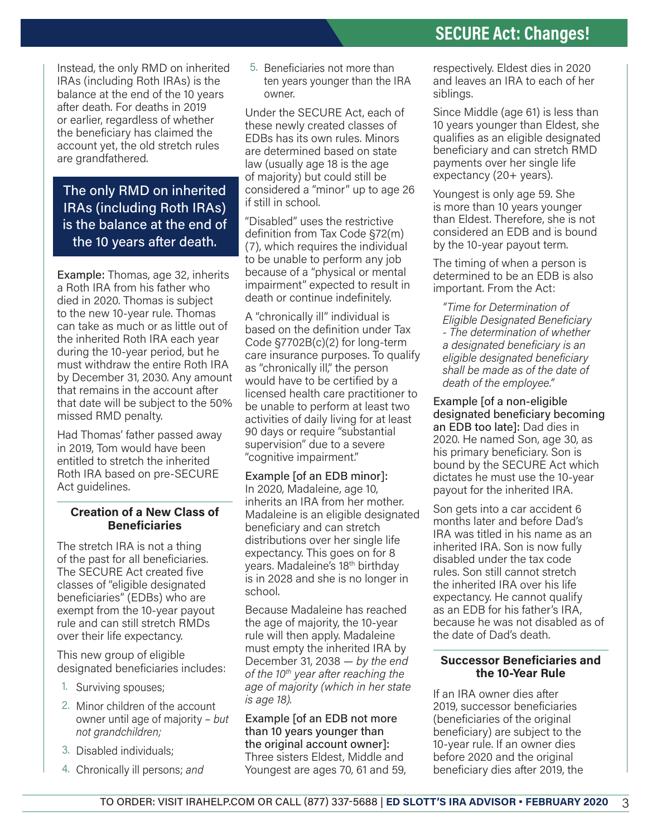Instead, the only RMD on inherited IRAs (including Roth IRAs) is the balance at the end of the 10 years after death. For deaths in 2019 or earlier, regardless of whether the beneficiary has claimed the account yet, the old stretch rules are grandfathered.

The only RMD on inherited IRAs (including Roth IRAs) is the balance at the end of the 10 years after death.

Example: Thomas, age 32, inherits a Roth IRA from his father who died in 2020. Thomas is subject to the new 10-year rule. Thomas can take as much or as little out of the inherited Roth IRA each year during the 10-year period, but he must withdraw the entire Roth IRA by December 31, 2030. Any amount that remains in the account after that date will be subject to the 50% missed RMD penalty.

Had Thomas' father passed away in 2019, Tom would have been entitled to stretch the inherited Roth IRA based on pre-SECURE Act guidelines.

#### **Creation of a New Class of Beneficiaries**

The stretch IRA is not a thing of the past for all beneficiaries. The SECURE Act created five classes of "eligible designated beneficiaries" (EDBs) who are exempt from the 10-year payout rule and can still stretch RMDs over their life expectancy.

This new group of eligible designated beneficiaries includes:

- 1. Surviving spouses;
- 2. Minor children of the account owner until age of majority – *but not grandchildren;*
- 3. Disabled individuals;
- 4. Chronically ill persons; *and*

5. Beneficiaries not more than ten years younger than the IRA owner.

Under the SECURE Act, each of these newly created classes of EDBs has its own rules. Minors are determined based on state law (usually age 18 is the age of majority) but could still be considered a "minor" up to age 26 if still in school.

"Disabled" uses the restrictive definition from Tax Code §72(m) (7), which requires the individual to be unable to perform any job because of a "physical or mental impairment" expected to result in death or continue indefinitely.

A "chronically ill" individual is based on the definition under Tax Code §7702B(c)(2) for long-term care insurance purposes. To qualify as "chronically ill," the person would have to be certified by a licensed health care practitioner to be unable to perform at least two activities of daily living for at least 90 days or require "substantial supervision" due to a severe "cognitive impairment."

Example [of an EDB minor]: In 2020, Madaleine, age 10, inherits an IRA from her mother. Madaleine is an eligible designated beneficiary and can stretch distributions over her single life expectancy. This goes on for 8 years. Madaleine's 18th birthday is in 2028 and she is no longer in school.

Because Madaleine has reached the age of majority, the 10-year rule will then apply. Madaleine must empty the inherited IRA by December 31, 2038 — *by the end of the 10th year after reaching the age of majority (which in her state is age 18).*

Example [of an EDB not more than 10 years younger than the original account owner]: Three sisters Eldest, Middle and Youngest are ages 70, 61 and 59,

respectively. Eldest dies in 2020 and leaves an IRA to each of her siblings.

Since Middle (age 61) is less than 10 years younger than Eldest, she qualifies as an eligible designated beneficiary and can stretch RMD payments over her single life expectancy (20+ years).

Youngest is only age 59. She is more than 10 years younger than Eldest. Therefore, she is not considered an EDB and is bound by the 10-year payout term.

The timing of when a person is determined to be an EDB is also important. From the Act:

*"Time for Determination of Eligible Designated Beneficiary - The determination of whether a designated beneficiary is an eligible designated beneficiary shall be made as of the date of death of the employee."*

Example [of a non-eligible designated beneficiary becoming an EDB too late]: Dad dies in 2020. He named Son, age 30, as his primary beneficiary. Son is bound by the SECURE Act which dictates he must use the 10-year payout for the inherited IRA.

Son gets into a car accident 6 months later and before Dad's IRA was titled in his name as an inherited IRA. Son is now fully disabled under the tax code rules. Son still cannot stretch the inherited IRA over his life expectancy. He cannot qualify as an EDB for his father's IRA, because he was not disabled as of the date of Dad's death.

#### **Successor Beneficiaries and the 10-Year Rule**

If an IRA owner dies after 2019, successor beneficiaries (beneficiaries of the original beneficiary) are subject to the 10-year rule. If an owner dies before 2020 and the original beneficiary dies after 2019, the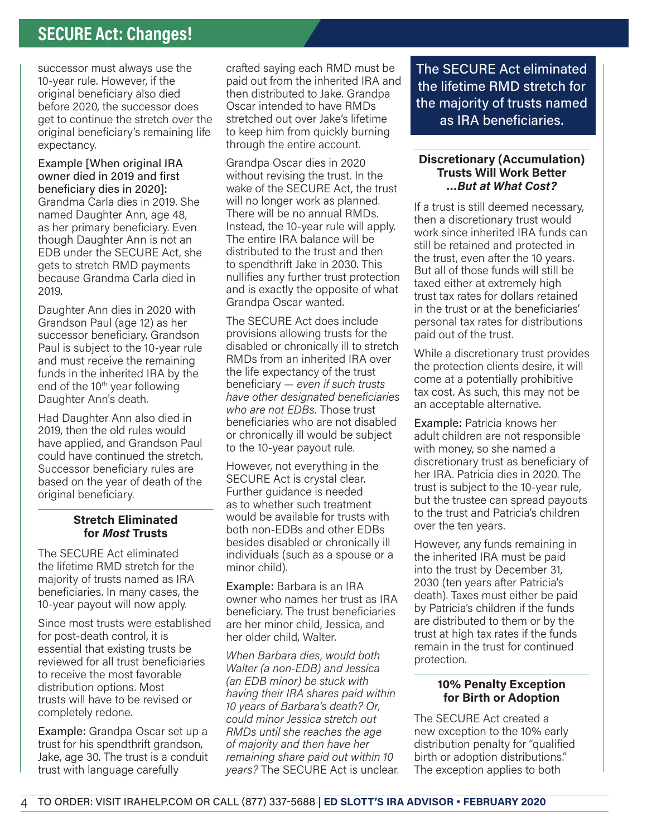## **SECURE Act: Changes!**

successor must always use the 10-year rule. However, if the original beneficiary also died before 2020, the successor does get to continue the stretch over the original beneficiary's remaining life expectancy.

Example [When original IRA owner died in 2019 and first beneficiary dies in 2020]: Grandma Carla dies in 2019. She named Daughter Ann, age 48, as her primary beneficiary. Even though Daughter Ann is not an EDB under the SECURE Act, she gets to stretch RMD payments because Grandma Carla died in 2019.

Daughter Ann dies in 2020 with Grandson Paul (age 12) as her successor beneficiary. Grandson Paul is subject to the 10-year rule and must receive the remaining funds in the inherited IRA by the end of the  $10<sup>th</sup>$  year following Daughter Ann's death.

Had Daughter Ann also died in 2019, then the old rules would have applied, and Grandson Paul could have continued the stretch. Successor beneficiary rules are based on the year of death of the original beneficiary.

#### **Stretch Eliminated for** *Most* **Trusts**

The SECURE Act eliminated the lifetime RMD stretch for the majority of trusts named as IRA beneficiaries. In many cases, the 10-year payout will now apply.

Since most trusts were established for post-death control, it is essential that existing trusts be reviewed for all trust beneficiaries to receive the most favorable distribution options. Most trusts will have to be revised or completely redone.

Example: Grandpa Oscar set up a trust for his spendthrift grandson, Jake, age 30. The trust is a conduit trust with language carefully

crafted saying each RMD must be paid out from the inherited IRA and then distributed to Jake. Grandpa Oscar intended to have RMDs stretched out over Jake's lifetime to keep him from quickly burning through the entire account.

Grandpa Oscar dies in 2020 without revising the trust. In the wake of the SECURE Act, the trust will no longer work as planned. There will be no annual RMDs. Instead, the 10-year rule will apply. The entire IRA balance will be distributed to the trust and then to spendthrift Jake in 2030. This nullifies any further trust protection and is exactly the opposite of what Grandpa Oscar wanted.

The SECURE Act does include provisions allowing trusts for the disabled or chronically ill to stretch RMDs from an inherited IRA over the life expectancy of the trust beneficiary — *even if such trusts have other designated beneficiaries who are not EDBs.* Those trust beneficiaries who are not disabled or chronically ill would be subject to the 10-year payout rule.

However, not everything in the SECURE Act is crystal clear. Further guidance is needed as to whether such treatment would be available for trusts with both non-EDBs and other EDBs besides disabled or chronically ill individuals (such as a spouse or a minor child).

Example: Barbara is an IRA owner who names her trust as IRA beneficiary. The trust beneficiaries are her minor child, Jessica, and her older child, Walter.

*When Barbara dies, would both Walter (a non-EDB) and Jessica (an EDB minor) be stuck with having their IRA shares paid within 10 years of Barbara's death? Or, could minor Jessica stretch out RMDs until she reaches the age of majority and then have her remaining share paid out within 10 years?* The SECURE Act is unclear. The SECURE Act eliminated the lifetime RMD stretch for the majority of trusts named as IRA beneficiaries.

#### **Discretionary (Accumulation) Trusts Will Work Better** *…But at What Cost?*

If a trust is still deemed necessary, then a discretionary trust would work since inherited IRA funds can still be retained and protected in the trust, even after the 10 years. But all of those funds will still be taxed either at extremely high trust tax rates for dollars retained in the trust or at the beneficiaries' personal tax rates for distributions paid out of the trust.

While a discretionary trust provides the protection clients desire, it will come at a potentially prohibitive tax cost. As such, this may not be an acceptable alternative.

Example: Patricia knows her adult children are not responsible with money, so she named a discretionary trust as beneficiary of her IRA. Patricia dies in 2020. The trust is subject to the 10-year rule, but the trustee can spread payouts to the trust and Patricia's children over the ten years.

However, any funds remaining in the inherited IRA must be paid into the trust by December 31, 2030 (ten years after Patricia's death). Taxes must either be paid by Patricia's children if the funds are distributed to them or by the trust at high tax rates if the funds remain in the trust for continued protection.

#### **10% Penalty Exception for Birth or Adoption**

The SECURE Act created a new exception to the 10% early distribution penalty for "qualified birth or adoption distributions." The exception applies to both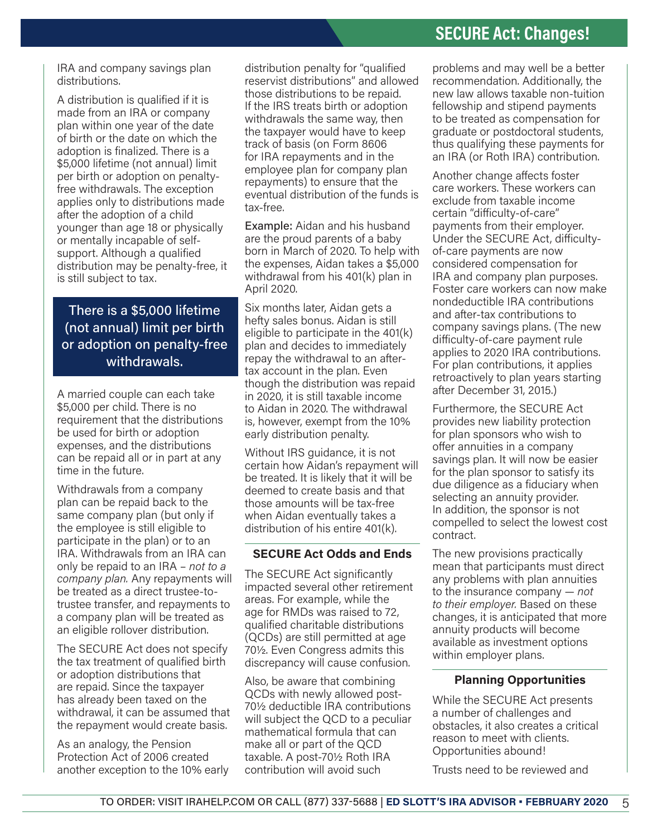## **SECURE Act: Changes!**

IRA and company savings plan distributions.

A distribution is qualified if it is made from an IRA or company plan within one year of the date of birth or the date on which the adoption is finalized. There is a \$5,000 lifetime (not annual) limit per birth or adoption on penaltyfree withdrawals. The exception applies only to distributions made after the adoption of a child younger than age 18 or physically or mentally incapable of selfsupport. Although a qualified distribution may be penalty-free, it is still subject to tax.

There is a \$5,000 lifetime (not annual) limit per birth or adoption on penalty-free withdrawals.

A married couple can each take \$5,000 per child. There is no requirement that the distributions be used for birth or adoption expenses, and the distributions can be repaid all or in part at any time in the future.

Withdrawals from a company plan can be repaid back to the same company plan (but only if the employee is still eligible to participate in the plan) or to an IRA. Withdrawals from an IRA can only be repaid to an IRA – *not to a company plan.* Any repayments will be treated as a direct trustee-totrustee transfer, and repayments to a company plan will be treated as an eligible rollover distribution.

The SECURE Act does not specify the tax treatment of qualified birth or adoption distributions that are repaid. Since the taxpayer has already been taxed on the withdrawal, it can be assumed that the repayment would create basis.

As an analogy, the Pension Protection Act of 2006 created another exception to the 10% early

distribution penalty for "qualified reservist distributions" and allowed those distributions to be repaid. If the IRS treats birth or adoption withdrawals the same way, then the taxpayer would have to keep track of basis (on Form 8606 for IRA repayments and in the employee plan for company plan repayments) to ensure that the eventual distribution of the funds is tax-free.

Example: Aidan and his husband are the proud parents of a baby born in March of 2020. To help with the expenses, Aidan takes a \$5,000 withdrawal from his 401(k) plan in April 2020.

Six months later, Aidan gets a hefty sales bonus. Aidan is still eligible to participate in the 401(k) plan and decides to immediately repay the withdrawal to an aftertax account in the plan. Even though the distribution was repaid in 2020, it is still taxable income to Aidan in 2020. The withdrawal is, however, exempt from the 10% early distribution penalty.

Without IRS guidance, it is not certain how Aidan's repayment will be treated. It is likely that it will be deemed to create basis and that those amounts will be tax-free when Aidan eventually takes a distribution of his entire 401(k).

#### **SECURE Act Odds and Ends**

The SECURE Act significantly impacted several other retirement areas. For example, while the age for RMDs was raised to 72, qualified charitable distributions (QCDs) are still permitted at age 70½. Even Congress admits this discrepancy will cause confusion.

Also, be aware that combining QCDs with newly allowed post-70½ deductible IRA contributions will subject the QCD to a peculiar mathematical formula that can make all or part of the QCD taxable. A post-70½ Roth IRA contribution will avoid such

problems and may well be a better recommendation. Additionally, the new law allows taxable non-tuition fellowship and stipend payments to be treated as compensation for graduate or postdoctoral students, thus qualifying these payments for an IRA (or Roth IRA) contribution.

Another change affects foster care workers. These workers can exclude from taxable income certain "difficulty-of-care" payments from their employer. Under the SECURE Act, difficultyof-care payments are now considered compensation for IRA and company plan purposes. Foster care workers can now make nondeductible IRA contributions and after-tax contributions to company savings plans. (The new difficulty-of-care payment rule applies to 2020 IRA contributions. For plan contributions, it applies retroactively to plan years starting after December 31, 2015.)

Furthermore, the SECURE Act provides new liability protection for plan sponsors who wish to offer annuities in a company savings plan. It will now be easier for the plan sponsor to satisfy its due diligence as a fiduciary when selecting an annuity provider. In addition, the sponsor is not compelled to select the lowest cost contract.

The new provisions practically mean that participants must direct any problems with plan annuities to the insurance company — *not to their employer.* Based on these changes, it is anticipated that more annuity products will become available as investment options within employer plans.

#### **Planning Opportunities**

While the SECURE Act presents a number of challenges and obstacles, it also creates a critical reason to meet with clients. Opportunities abound!

Trusts need to be reviewed and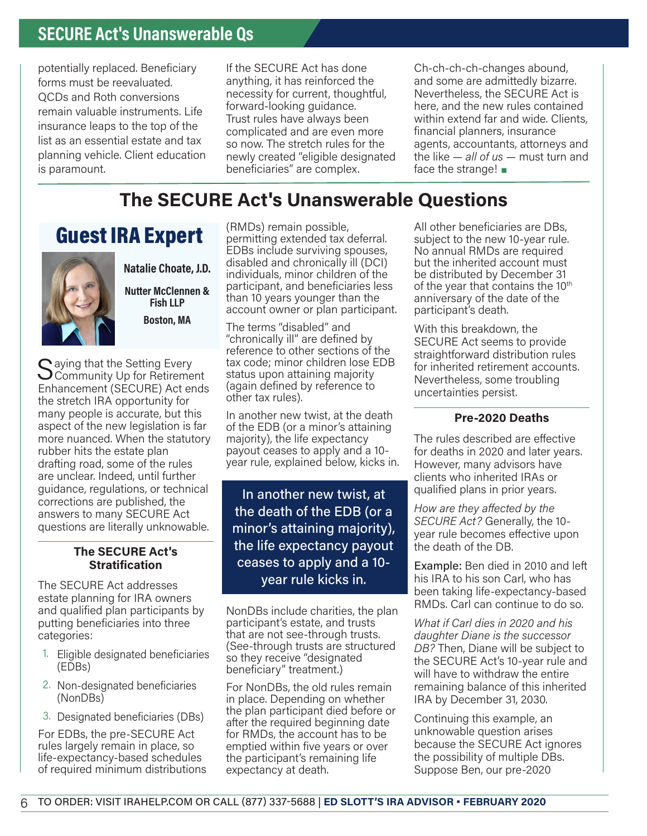## **SECURE Act's Unanswerable Qs**

potentially replaced. Beneficiary forms must be reevaluated. QCDs and Roth conversions remain valuable instruments. Life insurance leaps to the top of the list as an essential estate and tax planning vehicle. Client education is paramount.

If the SECURE Act has done anything, it has reinforced the necessity for current, thoughtful, forward-looking guidance. Trust rules have always been complicated and are even more so now. The stretch rules for the newly created "eligible designated beneficiaries" are complex.

Ch-ch-ch-ch-changes abound, and some are admittedly bizarre. Nevertheless, the SECURE Act is here, and the new rules contained within extend far and wide. Clients, financial planners, insurance agents, accountants, attorneys and the like — *all of us* — must turn and face the strange!  $\blacksquare$ 

## **The SECURE Act's Unanswerable Questions**

## Guest IRA Expert



**Natalie Choate, J.D.**

**Nutter McClennen & Fish LLP**

**Boston, MA**

 $\bigcap$  aying that the Setting Every  $\bigcup$ Community Up for Retirement Enhancement (SECURE) Act ends the stretch IRA opportunity for many people is accurate, but this aspect of the new legislation is far more nuanced. When the statutory rubber hits the estate plan drafting road, some of the rules are unclear. Indeed, until further guidance, regulations, or technical corrections are published, the answers to many SECURE Act questions are literally unknowable.

#### **The SECURE Act's Stratification**

The SECURE Act addresses estate planning for IRA owners and qualified plan participants by putting beneficiaries into three categories:

- 1. Eligible designated beneficiaries (EDBs)
- 2. Non-designated beneficiaries (NonDBs)
- 3. Designated beneficiaries (DBs)

For EDBs, the pre-SECURE Act rules largely remain in place, so life-expectancy-based schedules of required minimum distributions (RMDs) remain possible, permitting extended tax deferral. EDBs include surviving spouses, disabled and chronically ill (DCI) individuals, minor children of the participant, and beneficiaries less than 10 years younger than the account owner or plan participant.

The terms "disabled" and "chronically ill" are defined by reference to other sections of the tax code; minor children lose EDB status upon attaining majority (again defined by reference to other tax rules).

In another new twist, at the death of the EDB (or a minor's attaining majority), the life expectancy payout ceases to apply and a 10 year rule, explained below, kicks in.

In another new twist, at the death of the EDB (or a minor's attaining majority), the life expectancy payout ceases to apply and a 10 year rule kicks in.

NonDBs include charities, the plan participant's estate, and trusts that are not see-through trusts. (See-through trusts are structured so they receive "designated beneficiary" treatment.)

For NonDBs, the old rules remain in place. Depending on whether the plan participant died before or after the required beginning date for RMDs, the account has to be emptied within five years or over the participant's remaining life expectancy at death.

All other beneficiaries are DBs, subject to the new 10-year rule. No annual RMDs are required but the inherited account must be distributed by December 31 of the year that contains the 10<sup>th</sup> anniversary of the date of the participant's death.

With this breakdown, the SECURE Act seems to provide straightforward distribution rules for inherited retirement accounts. Nevertheless, some troubling uncertainties persist.

#### **Pre-2020 Deaths**

The rules described are effective for deaths in 2020 and later years. However, many advisors have clients who inherited IRAs or qualified plans in prior years.

*How are they affected by the SECURE Act?* Generally, the 10 year rule becomes effective upon the death of the DB.

Example: Ben died in 2010 and left his IRA to his son Carl, who has been taking life-expectancy-based RMDs. Carl can continue to do so.

*What if Carl dies in 2020 and his daughter Diane is the successor DB?* Then, Diane will be subject to the SECURE Act's 10-year rule and will have to withdraw the entire remaining balance of this inherited IRA by December 31, 2030.

Continuing this example, an unknowable question arises because the SECURE Act ignores the possibility of multiple DBs. Suppose Ben, our pre-2020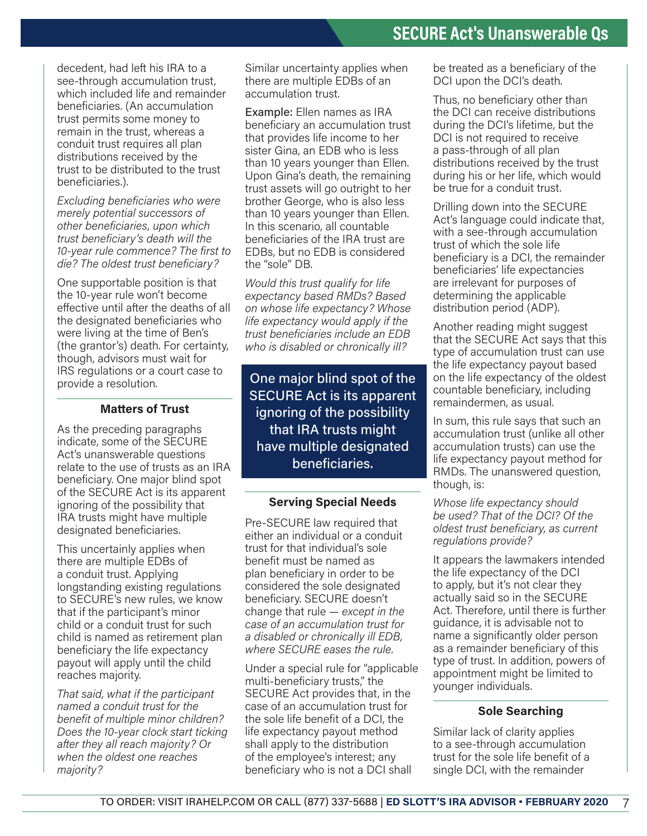decedent, had left his IRA to a see-through accumulation trust. which included life and remainder beneficiaries. (An accumulation trust permits some money to remain in the trust, whereas a conduit trust requires all plan distributions received by the trust to be distributed to the trust beneficiaries.).

*Excluding beneficiaries who were merely potential successors of other beneficiaries, upon which trust beneficiary's death will the 10-year rule commence? The first to die? The oldest trust beneficiary?*

One supportable position is that the 10-year rule won't become effective until after the deaths of all the designated beneficiaries who were living at the time of Ben's (the grantor's) death. For certainty, though, advisors must wait for IRS regulations or a court case to provide a resolution.

#### **Matters of Trust**

As the preceding paragraphs indicate, some of the SECURE Act's unanswerable questions relate to the use of trusts as an IRA beneficiary. One major blind spot of the SECURE Act is its apparent ignoring of the possibility that IRA trusts might have multiple designated beneficiaries.

This uncertainly applies when there are multiple EDBs of a conduit trust. Applying longstanding existing regulations to SECURE's new rules, we know that if the participant's minor child or a conduit trust for such child is named as retirement plan beneficiary the life expectancy payout will apply until the child reaches majority.

*That said, what if the participant named a conduit trust for the benefit of multiple minor children? Does the 10-year clock start ticking after they all reach majority? Or when the oldest one reaches majority?*

Similar uncertainty applies when there are multiple EDBs of an accumulation trust.

Example: Ellen names as IRA beneficiary an accumulation trust that provides life income to her sister Gina, an EDB who is less than 10 years younger than Ellen. Upon Gina's death, the remaining trust assets will go outright to her brother George, who is also less than 10 years younger than Ellen. In this scenario, all countable beneficiaries of the IRA trust are EDBs, but no EDB is considered the "sole" DB.

*Would this trust qualify for life expectancy based RMDs? Based on whose life expectancy? Whose life expectancy would apply if the trust beneficiaries include an EDB who is disabled or chronically ill?*

One major blind spot of the SECURE Act is its apparent ignoring of the possibility that IRA trusts might have multiple designated beneficiaries.

#### **Serving Special Needs**

Pre-SECURE law required that either an individual or a conduit trust for that individual's sole benefit must be named as plan beneficiary in order to be considered the sole designated beneficiary. SECURE doesn't change that rule — *except in the case of an accumulation trust for a disabled or chronically ill EDB, where SECURE eases the rule.*

Under a special rule for "applicable multi-beneficiary trusts," the SECURE Act provides that, in the case of an accumulation trust for the sole life benefit of a DCI, the life expectancy payout method shall apply to the distribution of the employee's interest; any beneficiary who is not a DCI shall

be treated as a beneficiary of the DCI upon the DCI's death.

Thus, no beneficiary other than the DCI can receive distributions during the DCI's lifetime, but the DCI is not required to receive a pass-through of all plan distributions received by the trust during his or her life, which would be true for a conduit trust.

Drilling down into the SECURE Act's language could indicate that, with a see-through accumulation trust of which the sole life beneficiary is a DCI, the remainder beneficiaries' life expectancies are irrelevant for purposes of determining the applicable distribution period (ADP).

Another reading might suggest that the SECURE Act says that this type of accumulation trust can use the life expectancy payout based on the life expectancy of the oldest countable beneficiary, including remaindermen, as usual.

In sum, this rule says that such an accumulation trust (unlike all other accumulation trusts) can use the life expectancy payout method for RMDs. The unanswered question, though, is:

*Whose life expectancy should be used? That of the DCI? Of the oldest trust beneficiary, as current regulations provide?*

It appears the lawmakers intended the life expectancy of the DCI to apply, but it's not clear they actually said so in the SECURE Act. Therefore, until there is further guidance, it is advisable not to name a significantly older person as a remainder beneficiary of this type of trust. In addition, powers of appointment might be limited to younger individuals.

#### **Sole Searching**

Similar lack of clarity applies to a see-through accumulation trust for the sole life benefit of a single DCI, with the remainder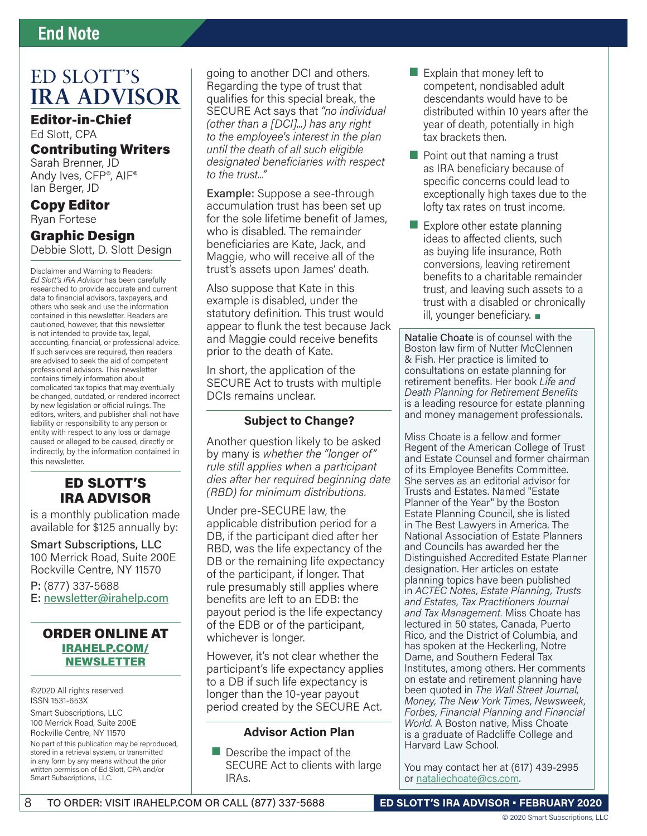## **End Note**

## ED SLOTT'S **IRA ADVISOR**

Editor-in-Chief Ed Slott, CPA Contributing Writers

Sarah Brenner, JD Andy Ives, CFP®, AIF® Ian Berger, JD

Copy Editor Ryan Fortese

## Graphic Design

Debbie Slott, D. Slott Design

Disclaimer and Warning to Readers: *Ed Slott's IRA Advisor* has been carefully researched to provide accurate and current data to financial advisors, taxpayers, and others who seek and use the information contained in this newsletter. Readers are cautioned, however, that this newsletter is not intended to provide tax, legal, accounting, financial, or professional advice. If such services are required, then readers are advised to seek the aid of competent professional advisors. This newsletter contains timely information about complicated tax topics that may eventually be changed, outdated, or rendered incorrect by new legislation or official rulings. The editors, writers, and publisher shall not have liability or responsibility to any person or entity with respect to any loss or damage caused or alleged to be caused, directly or indirectly, by the information contained in this newsletter.

### ED SLOTT'S IRA ADVISOR

is a monthly publication made available for \$125 annually by:

Smart Subscriptions, LLC 100 Merrick Road, Suite 200E Rockville Centre, NY 11570 P: (877) 337-5688

E: newsletter@irahelp.com

#### ORDER ONLINE AT IRAHELP.COM/ NEWSLETTER

©2020 All rights reserved ISSN 1531-653X Smart Subscriptions, LLC 100 Merrick Road, Suite 200E Rockville Centre, NY 11570 No part of this publication may be reproduced, stored in a retrieval system, or transmitted in any form by any means without the prior written permission of Ed Slott, CPA and/or Smart Subscriptions, LLC.

going to another DCI and others. Regarding the type of trust that qualifies for this special break, the SECURE Act says that *"no individual (other than a [DCI]...) has any right to the employee's interest in the plan until the death of all such eligible designated beneficiaries with respect to the trust..."* 

Example: Suppose a see-through accumulation trust has been set up for the sole lifetime benefit of James, who is disabled. The remainder beneficiaries are Kate, Jack, and Maggie, who will receive all of the trust's assets upon James' death.

Also suppose that Kate in this example is disabled, under the statutory definition. This trust would appear to flunk the test because Jack and Maggie could receive benefits prior to the death of Kate.

In short, the application of the SECURE Act to trusts with multiple DCIs remains unclear.

#### **Subject to Change?**

Another question likely to be asked by many is *whether the "longer of" rule still applies when a participant dies after her required beginning date (RBD) for minimum distributions.*

Under pre-SECURE law, the applicable distribution period for a DB, if the participant died after her RBD, was the life expectancy of the DB or the remaining life expectancy of the participant, if longer. That rule presumably still applies where benefits are left to an EDB: the payout period is the life expectancy of the EDB or of the participant, whichever is longer.

However, it's not clear whether the participant's life expectancy applies to a DB if such life expectancy is longer than the 10-year payout period created by the SECURE Act.

#### **Advisor Action Plan**

 $\blacksquare$  Describe the impact of the SECURE Act to clients with large IRAs.

- $\blacksquare$  Explain that money left to competent, nondisabled adult descendants would have to be distributed within 10 years after the year of death, potentially in high tax brackets then.
- $\blacksquare$  Point out that naming a trust as IRA beneficiary because of specific concerns could lead to exceptionally high taxes due to the lofty tax rates on trust income.
- $\blacksquare$  Explore other estate planning ideas to affected clients, such as buying life insurance, Roth conversions, leaving retirement benefits to a charitable remainder trust, and leaving such assets to a trust with a disabled or chronically ill, younger beneficiary. ■

Natalie Choate is of counsel with the Boston law firm of Nutter McClennen & Fish. Her practice is limited to consultations on estate planning for retirement benefits. Her book *Life and Death Planning for Retirement Benefits*  is a leading resource for estate planning and money management professionals.

Miss Choate is a fellow and former Regent of the American College of Trust and Estate Counsel and former chairman of its Employee Benefits Committee. She serves as an editorial advisor for Trusts and Estates. Named "Estate Planner of the Year" by the Boston Estate Planning Council, she is listed in The Best Lawyers in America. The National Association of Estate Planners and Councils has awarded her the Distinguished Accredited Estate Planner designation. Her articles on estate planning topics have been published in *ACTEC Notes, Estate Planning, Trusts and Estates, Tax Practitioners Journal and Tax Management.* Miss Choate has lectured in 50 states, Canada, Puerto Rico, and the District of Columbia, and has spoken at the Heckerling, Notre Dame, and Southern Federal Tax Institutes, among others. Her comments on estate and retirement planning have been quoted in *The Wall Street Journal, Money, The New York Times, Newsweek, Forbes, Financial Planning and Financial World.* A Boston native, Miss Choate is a graduate of Radcliffe College and Harvard Law School.

You may contact her at (617) 439-2995 or nataliechoate@cs.com.